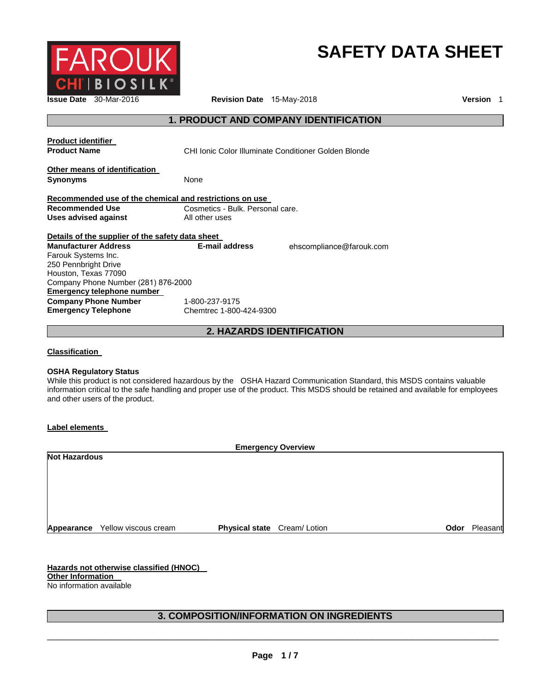

# **SAFETY DATA SHEET**

**Issue Date** 30-Mar-2016 **Revision Date** 15-May-2018 **Version** 1

# **1. PRODUCT AND COMPANY IDENTIFICATION**

| <b>Product identifier</b><br><b>Product Name</b>          | CHI Ionic Color Illuminate Conditioner Golden Blonde |                          |
|-----------------------------------------------------------|------------------------------------------------------|--------------------------|
| Other means of identification<br><b>Synonyms</b>          | None                                                 |                          |
| Recommended use of the chemical and restrictions on use   |                                                      |                          |
| <b>Recommended Use</b>                                    | Cosmetics - Bulk. Personal care.                     |                          |
| Uses advised against                                      | All other uses                                       |                          |
|                                                           |                                                      |                          |
| Details of the supplier of the safety data sheet          |                                                      |                          |
| <b>Manufacturer Address</b>                               | E-mail address                                       | ehscompliance@farouk.com |
| Farouk Systems Inc.                                       |                                                      |                          |
| 250 Pennbright Drive                                      |                                                      |                          |
| Houston, Texas 77090                                      |                                                      |                          |
| Company Phone Number (281) 876-2000                       |                                                      |                          |
| Emergency telephone number                                |                                                      |                          |
| <b>Company Phone Number</b><br><b>Emergency Telephone</b> | 1-800-237-9175<br>Chemtrec 1-800-424-9300            |                          |

**2. HAZARDS IDENTIFICATION**

**Classification** 

#### **OSHA Regulatory Status**

While this product is not considered hazardous by the OSHA Hazard Communication Standard, this MSDS contains valuable information critical to the safe handling and proper use of the product. This MSDS should be retained and available for employees and other users of the product.

**Label elements** 

| <b>Emergency Overview</b> |                                 |                             |      |          |
|---------------------------|---------------------------------|-----------------------------|------|----------|
| <b>Not Hazardous</b>      |                                 |                             |      |          |
|                           |                                 |                             |      |          |
|                           |                                 |                             |      |          |
|                           |                                 |                             |      |          |
|                           |                                 |                             |      |          |
|                           |                                 |                             |      |          |
|                           | Appearance Yellow viscous cream | Physical state Cream/Lotion | Odor | Pleasant |

**Hazards not otherwise classified (HNOC) Other Information**  No information available

# **3. COMPOSITION/INFORMATION ON INGREDIENTS**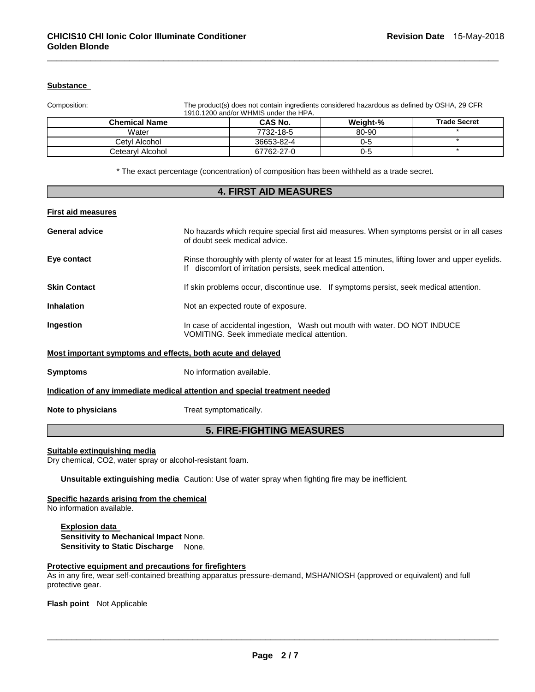## **Substance**

Composition: The product(s) does not contain ingredients considered hazardous as defined by OSHA, 29 CFR 1910.1200 and/or WHMIS under the HPA.

| <b>Chemical Name</b> | <b>CAS No.</b> | <b>Weight-%</b> | <b>Trade Secret</b> |
|----------------------|----------------|-----------------|---------------------|
| Water                | 7732-18-5      | 80-90           |                     |
| Cetvl Alcohol        | 36653-82-4     | 0-5             |                     |
| Cetearvl Alcohol     | 67762-27-0     | 0-5             |                     |

\_\_\_\_\_\_\_\_\_\_\_\_\_\_\_\_\_\_\_\_\_\_\_\_\_\_\_\_\_\_\_\_\_\_\_\_\_\_\_\_\_\_\_\_\_\_\_\_\_\_\_\_\_\_\_\_\_\_\_\_\_\_\_\_\_\_\_\_\_\_\_\_\_\_\_\_\_\_\_\_\_\_\_\_\_\_\_\_\_\_\_\_\_

\* The exact percentage (concentration) of composition has been withheld as a trade secret.

| <b>4. FIRST AID MEASURES</b>                                               |                                                                                                                                                                  |  |
|----------------------------------------------------------------------------|------------------------------------------------------------------------------------------------------------------------------------------------------------------|--|
| <b>First aid measures</b>                                                  |                                                                                                                                                                  |  |
| <b>General advice</b>                                                      | No hazards which require special first aid measures. When symptoms persist or in all cases<br>of doubt seek medical advice.                                      |  |
| Eye contact                                                                | Rinse thoroughly with plenty of water for at least 15 minutes, lifting lower and upper eyelids.<br>If discomfort of irritation persists, seek medical attention. |  |
| <b>Skin Contact</b>                                                        | If skin problems occur, discontinue use. If symptoms persist, seek medical attention.                                                                            |  |
| <b>Inhalation</b>                                                          | Not an expected route of exposure.                                                                                                                               |  |
| Ingestion                                                                  | In case of accidental ingestion, Wash out mouth with water. DO NOT INDUCE<br>VOMITING. Seek immediate medical attention.                                         |  |
| Most important symptoms and effects, both acute and delayed                |                                                                                                                                                                  |  |
| <b>Symptoms</b>                                                            | No information available.                                                                                                                                        |  |
| Indication of any immediate medical attention and special treatment needed |                                                                                                                                                                  |  |
| Note to physicians                                                         | Treat symptomatically.                                                                                                                                           |  |
| <b>5. FIRE-FIGHTING MEASURES</b>                                           |                                                                                                                                                                  |  |

#### **Suitable extinguishing media**

Dry chemical, CO2, water spray or alcohol-resistant foam.

**Unsuitable extinguishing media** Caution: Use of water spray when fighting fire may be inefficient.

#### **Specific hazards arising from the chemical**

No information available.

**Explosion data Sensitivity to Mechanical Impact** None. **Sensitivity to Static Discharge** None.

#### **Protective equipment and precautions for firefighters**

As in any fire, wear self-contained breathing apparatus pressure-demand, MSHA/NIOSH (approved or equivalent) and full protective gear.

**Flash point** Not Applicable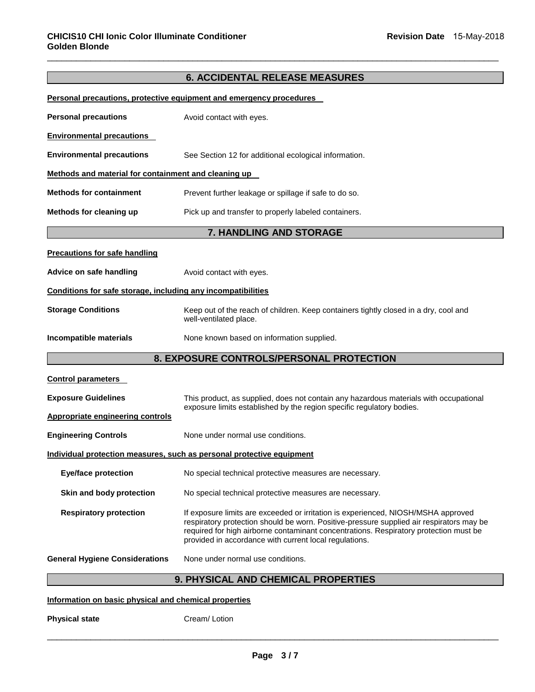# **6. ACCIDENTAL RELEASE MEASURES**

\_\_\_\_\_\_\_\_\_\_\_\_\_\_\_\_\_\_\_\_\_\_\_\_\_\_\_\_\_\_\_\_\_\_\_\_\_\_\_\_\_\_\_\_\_\_\_\_\_\_\_\_\_\_\_\_\_\_\_\_\_\_\_\_\_\_\_\_\_\_\_\_\_\_\_\_\_\_\_\_\_\_\_\_\_\_\_\_\_\_\_\_\_

|                                                              | Personal precautions, protective equipment and emergency procedures                                                                                                                                                                                                                                                              |
|--------------------------------------------------------------|----------------------------------------------------------------------------------------------------------------------------------------------------------------------------------------------------------------------------------------------------------------------------------------------------------------------------------|
| <b>Personal precautions</b>                                  | Avoid contact with eyes.                                                                                                                                                                                                                                                                                                         |
| <b>Environmental precautions</b>                             |                                                                                                                                                                                                                                                                                                                                  |
| <b>Environmental precautions</b>                             | See Section 12 for additional ecological information.                                                                                                                                                                                                                                                                            |
| Methods and material for containment and cleaning up         |                                                                                                                                                                                                                                                                                                                                  |
| <b>Methods for containment</b>                               | Prevent further leakage or spillage if safe to do so.                                                                                                                                                                                                                                                                            |
| Methods for cleaning up                                      | Pick up and transfer to properly labeled containers.                                                                                                                                                                                                                                                                             |
|                                                              | 7. HANDLING AND STORAGE                                                                                                                                                                                                                                                                                                          |
| <b>Precautions for safe handling</b>                         |                                                                                                                                                                                                                                                                                                                                  |
| Advice on safe handling                                      | Avoid contact with eyes.                                                                                                                                                                                                                                                                                                         |
| Conditions for safe storage, including any incompatibilities |                                                                                                                                                                                                                                                                                                                                  |
| <b>Storage Conditions</b>                                    | Keep out of the reach of children. Keep containers tightly closed in a dry, cool and<br>well-ventilated place.                                                                                                                                                                                                                   |
| Incompatible materials                                       | None known based on information supplied.                                                                                                                                                                                                                                                                                        |
|                                                              | 8. EXPOSURE CONTROLS/PERSONAL PROTECTION                                                                                                                                                                                                                                                                                         |
| <b>Control parameters</b>                                    |                                                                                                                                                                                                                                                                                                                                  |
| <b>Exposure Guidelines</b>                                   | This product, as supplied, does not contain any hazardous materials with occupational                                                                                                                                                                                                                                            |
| <b>Appropriate engineering controls</b>                      | exposure limits established by the region specific regulatory bodies.                                                                                                                                                                                                                                                            |
| <b>Engineering Controls</b>                                  | None under normal use conditions.                                                                                                                                                                                                                                                                                                |
|                                                              | Individual protection measures, such as personal protective equipment                                                                                                                                                                                                                                                            |
| <b>Eye/face protection</b>                                   | No special technical protective measures are necessary.                                                                                                                                                                                                                                                                          |
| Skin and body protection                                     | No special technical protective measures are necessary.                                                                                                                                                                                                                                                                          |
| <b>Respiratory protection</b>                                | If exposure limits are exceeded or irritation is experienced, NIOSH/MSHA approved<br>respiratory protection should be worn. Positive-pressure supplied air respirators may be<br>required for high airborne contaminant concentrations. Respiratory protection must be<br>provided in accordance with current local regulations. |
| <b>General Hygiene Considerations</b>                        | None under normal use conditions.                                                                                                                                                                                                                                                                                                |
|                                                              | <b>9. PHYSICAL AND CHEMICAL PROPERTIES</b>                                                                                                                                                                                                                                                                                       |

#### **Information on basic physical and chemical properties**

**Physical state Cream/ Lotion**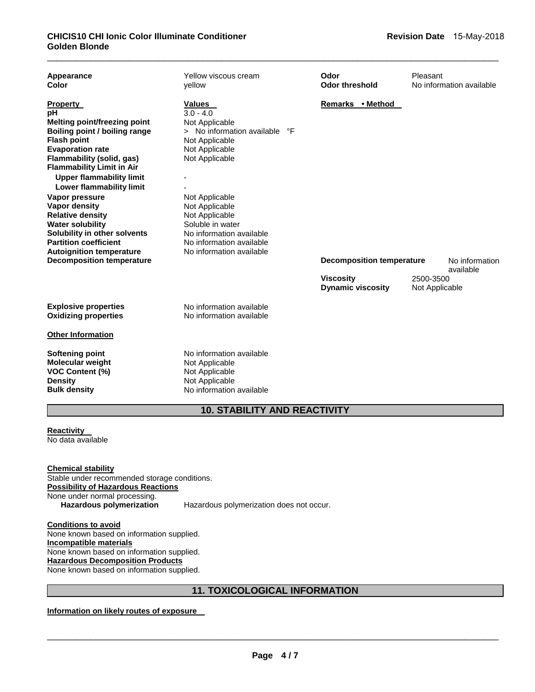| Appearance<br>Color                                                                                                                                                                                                                                                                                                                                                                                                                                                               | Yellow viscous cream<br>vellow                                                                                                                                                                                                                                                                  | Odor<br><b>Odor threshold</b>                | Pleasant<br>No information available |
|-----------------------------------------------------------------------------------------------------------------------------------------------------------------------------------------------------------------------------------------------------------------------------------------------------------------------------------------------------------------------------------------------------------------------------------------------------------------------------------|-------------------------------------------------------------------------------------------------------------------------------------------------------------------------------------------------------------------------------------------------------------------------------------------------|----------------------------------------------|--------------------------------------|
| <b>Property</b><br>pH<br>Melting point/freezing point<br>Boiling point / boiling range<br><b>Flash point</b><br><b>Evaporation rate</b><br>Flammability (solid, gas)<br><b>Flammability Limit in Air</b><br><b>Upper flammability limit</b><br><b>Lower flammability limit</b><br>Vapor pressure<br><b>Vapor density</b><br><b>Relative density</b><br><b>Water solubility</b><br>Solubility in other solvents<br><b>Partition coefficient</b><br><b>Autoignition temperature</b> | Values<br>$3.0 - 4.0$<br>Not Applicable<br>> No information available<br>°F<br>Not Applicable<br>Not Applicable<br>Not Applicable<br>Not Applicable<br>Not Applicable<br>Not Applicable<br>Soluble in water<br>No information available<br>No information available<br>No information available | Remarks • Method                             |                                      |
| <b>Decomposition temperature</b>                                                                                                                                                                                                                                                                                                                                                                                                                                                  |                                                                                                                                                                                                                                                                                                 | <b>Decomposition temperature</b>             | No information<br>available          |
|                                                                                                                                                                                                                                                                                                                                                                                                                                                                                   |                                                                                                                                                                                                                                                                                                 | <b>Viscosity</b><br><b>Dynamic viscosity</b> | 2500-3500<br>Not Applicable          |
| <b>Explosive properties</b><br><b>Oxidizing properties</b>                                                                                                                                                                                                                                                                                                                                                                                                                        | No information available<br>No information available                                                                                                                                                                                                                                            |                                              |                                      |
| <b>Other Information</b>                                                                                                                                                                                                                                                                                                                                                                                                                                                          |                                                                                                                                                                                                                                                                                                 |                                              |                                      |
| Softening point<br><b>Molecular weight</b><br><b>VOC Content (%)</b><br><b>Density</b><br><b>Bulk density</b>                                                                                                                                                                                                                                                                                                                                                                     | No information available<br>Not Applicable<br>Not Applicable<br>Not Applicable<br>No information available                                                                                                                                                                                      |                                              |                                      |

# **10. STABILITY AND REACTIVITY**

**Reactivity**  No data available

**Chemical stability** Stable under recommended storage conditions. **Possibility of Hazardous Reactions** None under normal processing.<br>Hazardous polymerization

**Hazardous polymerization** Hazardous polymerization does not occur.

**Conditions to avoid** None known based on information supplied. **Incompatible materials** None known based on information supplied. **Hazardous Decomposition Products** None known based on information supplied.

# **11. TOXICOLOGICAL INFORMATION**

**Information on likely routes of exposure**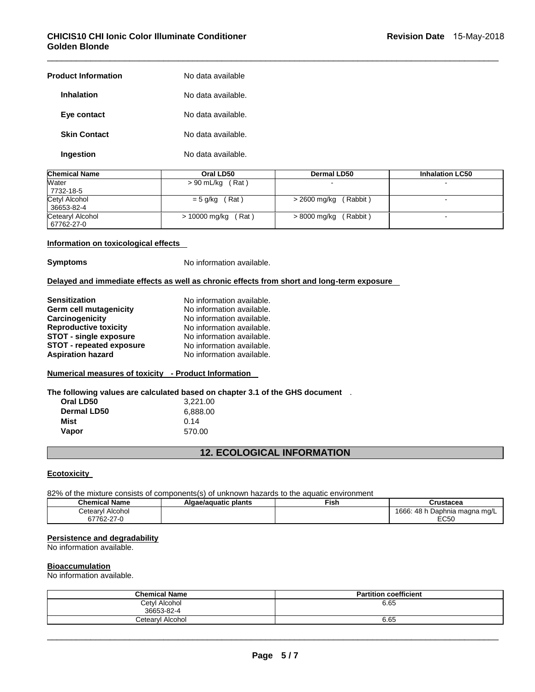## **CHICIS10 CHI Ionic Color Illuminate Conditioner Golden Blonde**

| <b>Product Information</b> | No data available  |
|----------------------------|--------------------|
| <b>Inhalation</b>          | No data available. |
| Eye contact                | No data available. |
| <b>Skin Contact</b>        | No data available. |
| Ingestion                  | No data available. |

| <b>Chemical Name</b> | Oral LD50          | Dermal LD50  | <b>Inhalation LC50</b> |
|----------------------|--------------------|--------------|------------------------|
| Water<br>7732-18-5   | $> 90$ mL/kg (Rat) |              |                        |
| Cetyl Alcohol        | (Rat)              | (Rabbit)     |                        |
| 36653-82-4           | $= 5$ g/kg         | > 2600 mg/kg |                        |
| Cetearyl Alcohol     | $> 10000$ mg/kg    | (Rabbit)     | -                      |
| 67762-27-0           | (Rat)              | > 8000 mg/kg |                        |

\_\_\_\_\_\_\_\_\_\_\_\_\_\_\_\_\_\_\_\_\_\_\_\_\_\_\_\_\_\_\_\_\_\_\_\_\_\_\_\_\_\_\_\_\_\_\_\_\_\_\_\_\_\_\_\_\_\_\_\_\_\_\_\_\_\_\_\_\_\_\_\_\_\_\_\_\_\_\_\_\_\_\_\_\_\_\_\_\_\_\_\_\_

#### **Information on toxicological effects**

**Symptoms** No information available.

#### **Delayed and immediate effects as well as chronic effects from short and long-term exposure**

| <b>Sensitization</b>            | No information available. |
|---------------------------------|---------------------------|
| Germ cell mutagenicity          | No information available. |
| Carcinogenicity                 | No information available. |
| <b>Reproductive toxicity</b>    | No information available. |
| <b>STOT - single exposure</b>   | No information available. |
| <b>STOT - repeated exposure</b> | No information available. |
| <b>Aspiration hazard</b>        | No information available. |
|                                 |                           |

## **Numerical measures of toxicity - Product Information**

**The following values are calculated based on chapter 3.1 of the GHS document** .

| Oral LD50   | 3,221.00 |
|-------------|----------|
| Dermal LD50 | 6,888.00 |
| Mist        | 0.14     |
| Vapor       | 570.00   |

# **12. ECOLOGICAL INFORMATION**

#### **Ecotoxicity**

82% of the mixture consists of components(s) of unknown hazards to the aquatic environment

| Chemical Name         | Algae/aguatic plants | Fish. | Crustacea                            |
|-----------------------|----------------------|-------|--------------------------------------|
| etearylٽ<br>I Alcohol |                      |       | 1666:<br>48 h<br>⊨Daphnia maɑna mɑ/L |
| 67762-27-0            |                      |       | EC50                                 |

## **Persistence and degradability**

No information available.

#### **Bioaccumulation**

No information available.

| <b>Chemical Name</b> | <b>Partition coefficient</b> |
|----------------------|------------------------------|
| Cetyl Alcohol        | 6.65                         |
| 36653-82-4           |                              |
| Cetearvl Alcohol     | 6.65                         |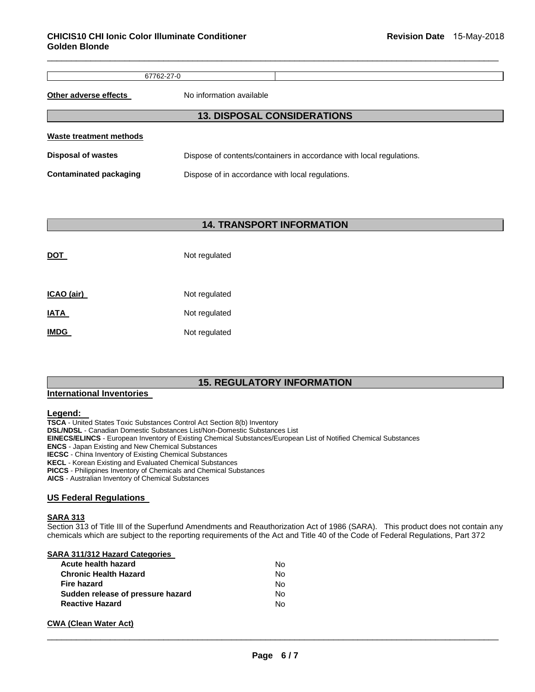67762-27-0

\_\_\_\_\_\_\_\_\_\_\_\_\_\_\_\_\_\_\_\_\_\_\_\_\_\_\_\_\_\_\_\_\_\_\_\_\_\_\_\_\_\_\_\_\_\_\_\_\_\_\_\_\_\_\_\_\_\_\_\_\_\_\_\_\_\_\_\_\_\_\_\_\_\_\_\_\_\_\_\_\_\_\_\_\_\_\_\_\_\_\_\_\_

**Other adverse effects** No information available

| <b>13. DISPOSAL CONSIDERATIONS</b> |                                                                      |  |  |  |  |
|------------------------------------|----------------------------------------------------------------------|--|--|--|--|
| Waste treatment methods            |                                                                      |  |  |  |  |
| <b>Disposal of wastes</b>          | Dispose of contents/containers in accordance with local regulations. |  |  |  |  |
| <b>Contaminated packaging</b>      | Dispose of in accordance with local regulations.                     |  |  |  |  |

# **14. TRANSPORT INFORMATION**

| <b>DOT</b>  | Not regulated |
|-------------|---------------|
| ICAO (air)  | Not regulated |
| <u>IATA</u> | Not regulated |
| <b>IMDG</b> | Not regulated |

# **15. REGULATORY INFORMATION**

#### **International Inventories**

#### **Legend:**

**TSCA** - United States Toxic Substances Control Act Section 8(b) Inventory **DSL/NDSL** - Canadian Domestic Substances List/Non-Domestic Substances List **EINECS/ELINCS** - European Inventory of Existing Chemical Substances/European List of Notified Chemical Substances **ENCS** - Japan Existing and New Chemical Substances **IECSC** - China Inventory of Existing Chemical Substances **KECL** - Korean Existing and Evaluated Chemical Substances **PICCS** - Philippines Inventory of Chemicals and Chemical Substances **AICS** - Australian Inventory of Chemical Substances

#### **US Federal Regulations**

#### **SARA 313**

Section 313 of Title III of the Superfund Amendments and Reauthorization Act of 1986 (SARA). This product does not contain any chemicals which are subject to the reporting requirements of the Act and Title 40 of the Code of Federal Regulations, Part 372

## **SARA 311/312 Hazard Categories**

| Acute health hazard               | N٥ |
|-----------------------------------|----|
| <b>Chronic Health Hazard</b>      | N٥ |
| <b>Fire hazard</b>                | N٥ |
| Sudden release of pressure hazard | N٥ |
| <b>Reactive Hazard</b>            | N٥ |

#### **CWA (Clean Water Act)**